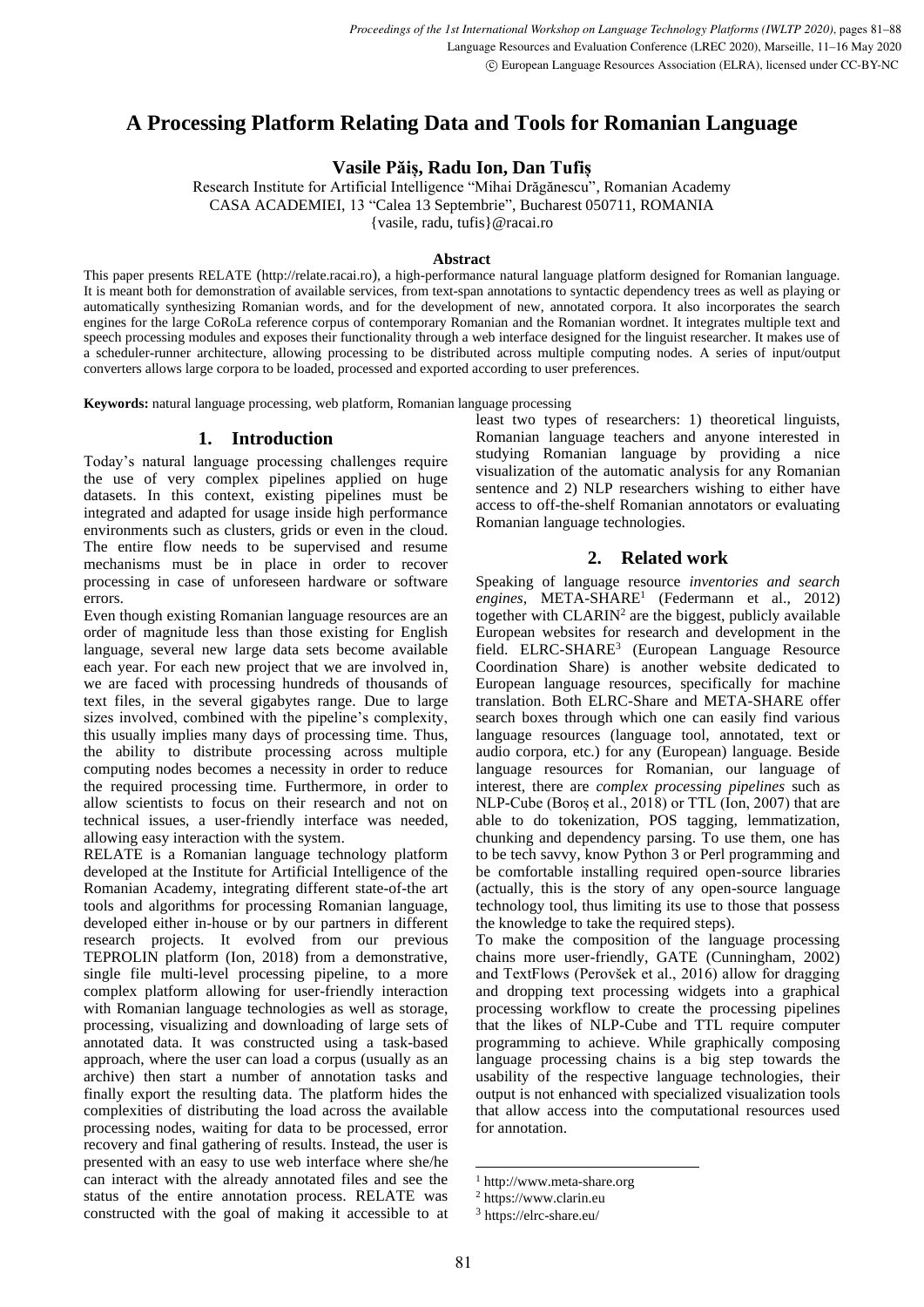# **A Processing Platform Relating Data and Tools for Romanian Language**

**Vasile Păiș, Radu Ion, Dan Tufiș**

Research Institute for Artificial Intelligence "Mihai Drăgănescu", Romanian Academy CASA ACADEMIEI, 13 "Calea 13 Septembrie", Bucharest 050711, ROMANIA

{vasile, radu, tufis}@racai.ro

#### **Abstract**

This paper presents RELATE ([http://relate.racai.ro](http://relate.racai.ro/)), a high-performance natural language platform designed for Romanian language. It is meant both for demonstration of available services, from text-span annotations to syntactic dependency trees as well as playing or automatically synthesizing Romanian words, and for the development of new, annotated corpora. It also incorporates the search engines for the large CoRoLa reference corpus of contemporary Romanian and the Romanian wordnet. It integrates multiple text and speech processing modules and exposes their functionality through a web interface designed for the linguist researcher. It makes use of a scheduler-runner architecture, allowing processing to be distributed across multiple computing nodes. A series of input/output converters allows large corpora to be loaded, processed and exported according to user preferences.

**Keywords:** natural language processing, web platform, Romanian language processing

### **1. Introduction**

Today's natural language processing challenges require the use of very complex pipelines applied on huge datasets. In this context, existing pipelines must be integrated and adapted for usage inside high performance environments such as clusters, grids or even in the cloud. The entire flow needs to be supervised and resume mechanisms must be in place in order to recover processing in case of unforeseen hardware or software errors.

Even though existing Romanian language resources are an order of magnitude less than those existing for English language, several new large data sets become available each year. For each new project that we are involved in, we are faced with processing hundreds of thousands of text files, in the several gigabytes range. Due to large sizes involved, combined with the pipeline's complexity, this usually implies many days of processing time. Thus, the ability to distribute processing across multiple computing nodes becomes a necessity in order to reduce the required processing time. Furthermore, in order to allow scientists to focus on their research and not on technical issues, a user-friendly interface was needed, allowing easy interaction with the system.

RELATE is a Romanian language technology platform developed at the Institute for Artificial Intelligence of the Romanian Academy, integrating different state-of-the art tools and algorithms for processing Romanian language, developed either in-house or by our partners in different research projects. It evolved from our previous TEPROLIN platform (Ion, 2018) from a demonstrative, single file multi-level processing pipeline, to a more complex platform allowing for user-friendly interaction with Romanian language technologies as well as storage, processing, visualizing and downloading of large sets of annotated data. It was constructed using a task-based approach, where the user can load a corpus (usually as an archive) then start a number of annotation tasks and finally export the resulting data. The platform hides the complexities of distributing the load across the available processing nodes, waiting for data to be processed, error recovery and final gathering of results. Instead, the user is presented with an easy to use web interface where she/he can interact with the already annotated files and see the status of the entire annotation process. RELATE was constructed with the goal of making it accessible to at

least two types of researchers: 1) theoretical linguists, Romanian language teachers and anyone interested in studying Romanian language by providing a nice visualization of the automatic analysis for any Romanian sentence and 2) NLP researchers wishing to either have access to off-the-shelf Romanian annotators or evaluating Romanian language technologies.

## **2. Related work**

Speaking of language resource *inventories and search*  engines, META-SHARE<sup>1</sup> (Federmann et al., 2012) together with  $CLARIN<sup>2</sup>$  are the biggest, publicly available European websites for research and development in the field. ELRC-SHARE<sup>3</sup> (European Language Resource Coordination Share) is another website dedicated to European language resources, specifically for machine translation. Both ELRC-Share and META-SHARE offer search boxes through which one can easily find various language resources (language tool, annotated, text or audio corpora, etc.) for any (European) language. Beside language resources for Romanian, our language of interest, there are *complex processing pipelines* such as NLP-Cube (Boroș et al., 2018) or TTL (Ion, 2007) that are able to do tokenization, POS tagging, lemmatization, chunking and dependency parsing. To use them, one has to be tech savvy, know Python 3 or Perl programming and be comfortable installing required open-source libraries (actually, this is the story of any open-source language technology tool, thus limiting its use to those that possess the knowledge to take the required steps).

To make the composition of the language processing chains more user-friendly, GATE (Cunningham, 2002) and TextFlows (Perovšek et al., 2016) allow for dragging and dropping text processing widgets into a graphical processing workflow to create the processing pipelines that the likes of NLP-Cube and TTL require computer programming to achieve. While graphically composing language processing chains is a big step towards the usability of the respective language technologies, their output is not enhanced with specialized visualization tools that allow access into the computational resources used for annotation.

<sup>1</sup> [http://www.meta-share.org](http://www.meta-share.org/)

<sup>2</sup> [https://www.clarin.eu](https://www.clarin.eu/)

<sup>3</sup> <https://elrc-share.eu/>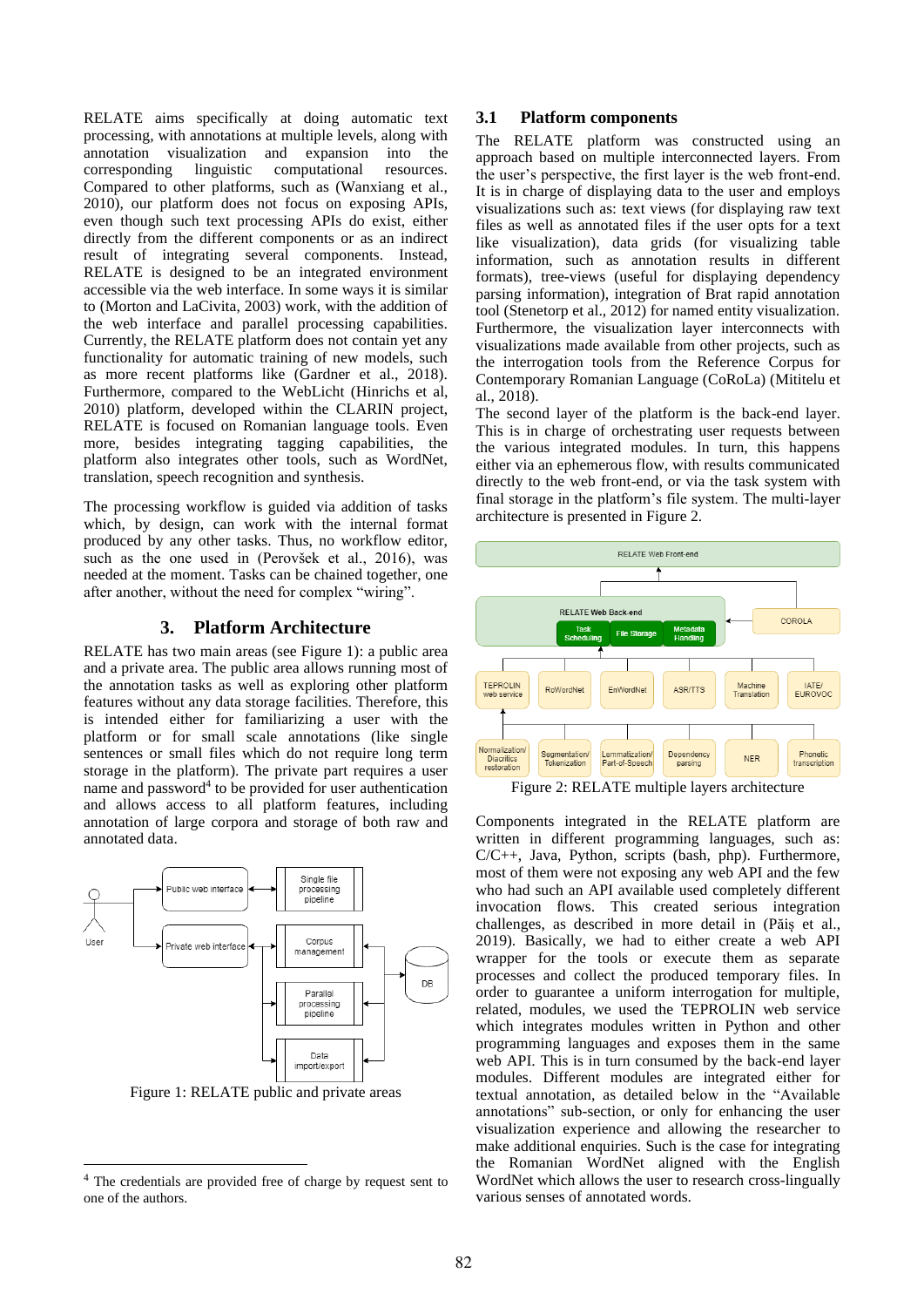RELATE aims specifically at doing automatic text processing, with annotations at multiple levels, along with annotation visualization and expansion into the corresponding linguistic computational resources. Compared to other platforms, such as (Wanxiang et al., 2010), our platform does not focus on exposing APIs, even though such text processing APIs do exist, either directly from the different components or as an indirect result of integrating several components. Instead, RELATE is designed to be an integrated environment accessible via the web interface. In some ways it is similar to (Morton and LaCivita, 2003) work, with the addition of the web interface and parallel processing capabilities. Currently, the RELATE platform does not contain yet any functionality for automatic training of new models, such as more recent platforms like (Gardner et al., 2018). Furthermore, compared to the WebLicht (Hinrichs et al, 2010) platform, developed within the CLARIN project, RELATE is focused on Romanian language tools. Even more, besides integrating tagging capabilities, the platform also integrates other tools, such as WordNet, translation, speech recognition and synthesis.

The processing workflow is guided via addition of tasks which, by design, can work with the internal format produced by any other tasks. Thus, no workflow editor, such as the one used in (Perovšek et al., 2016), was needed at the moment. Tasks can be chained together, one after another, without the need for complex "wiring".

## **3. Platform Architecture**

RELATE has two main areas (see Figure 1): a public area and a private area. The public area allows running most of the annotation tasks as well as exploring other platform features without any data storage facilities. Therefore, this is intended either for familiarizing a user with the platform or for small scale annotations (like single sentences or small files which do not require long term storage in the platform). The private part requires a user name and password<sup>4</sup> to be provided for user authentication and allows access to all platform features, including annotation of large corpora and storage of both raw and annotated data.



Figure 1: RELATE public and private areas

## **3.1 Platform components**

The RELATE platform was constructed using an approach based on multiple interconnected layers. From the user's perspective, the first layer is the web front-end. It is in charge of displaying data to the user and employs visualizations such as: text views (for displaying raw text files as well as annotated files if the user opts for a text like visualization), data grids (for visualizing table information, such as annotation results in different formats), tree-views (useful for displaying dependency parsing information), integration of Brat rapid annotation tool (Stenetorp et al., 2012) for named entity visualization. Furthermore, the visualization layer interconnects with visualizations made available from other projects, such as the interrogation tools from the Reference Corpus for Contemporary Romanian Language (CoRoLa) (Mititelu et al., 2018).

The second layer of the platform is the back-end layer. This is in charge of orchestrating user requests between the various integrated modules. In turn, this happens either via an ephemerous flow, with results communicated directly to the web front-end, or via the task system with final storage in the platform's file system. The multi-layer architecture is presented in Figure 2.



Figure 2: RELATE multiple layers architecture

Components integrated in the RELATE platform are written in different programming languages, such as: C/C++, Java, Python, scripts (bash, php). Furthermore, most of them were not exposing any web API and the few who had such an API available used completely different invocation flows. This created serious integration challenges, as described in more detail in (Păiș et al., 2019). Basically, we had to either create a web API wrapper for the tools or execute them as separate processes and collect the produced temporary files. In order to guarantee a uniform interrogation for multiple, related, modules, we used the TEPROLIN web service which integrates modules written in Python and other programming languages and exposes them in the same web API. This is in turn consumed by the back-end layer modules. Different modules are integrated either for textual annotation, as detailed below in the "Available annotations" sub-section, or only for enhancing the user visualization experience and allowing the researcher to make additional enquiries. Such is the case for integrating the Romanian WordNet aligned with the English WordNet which allows the user to research cross-lingually various senses of annotated words.

<sup>4</sup> The credentials are provided free of charge by request sent to one of the authors.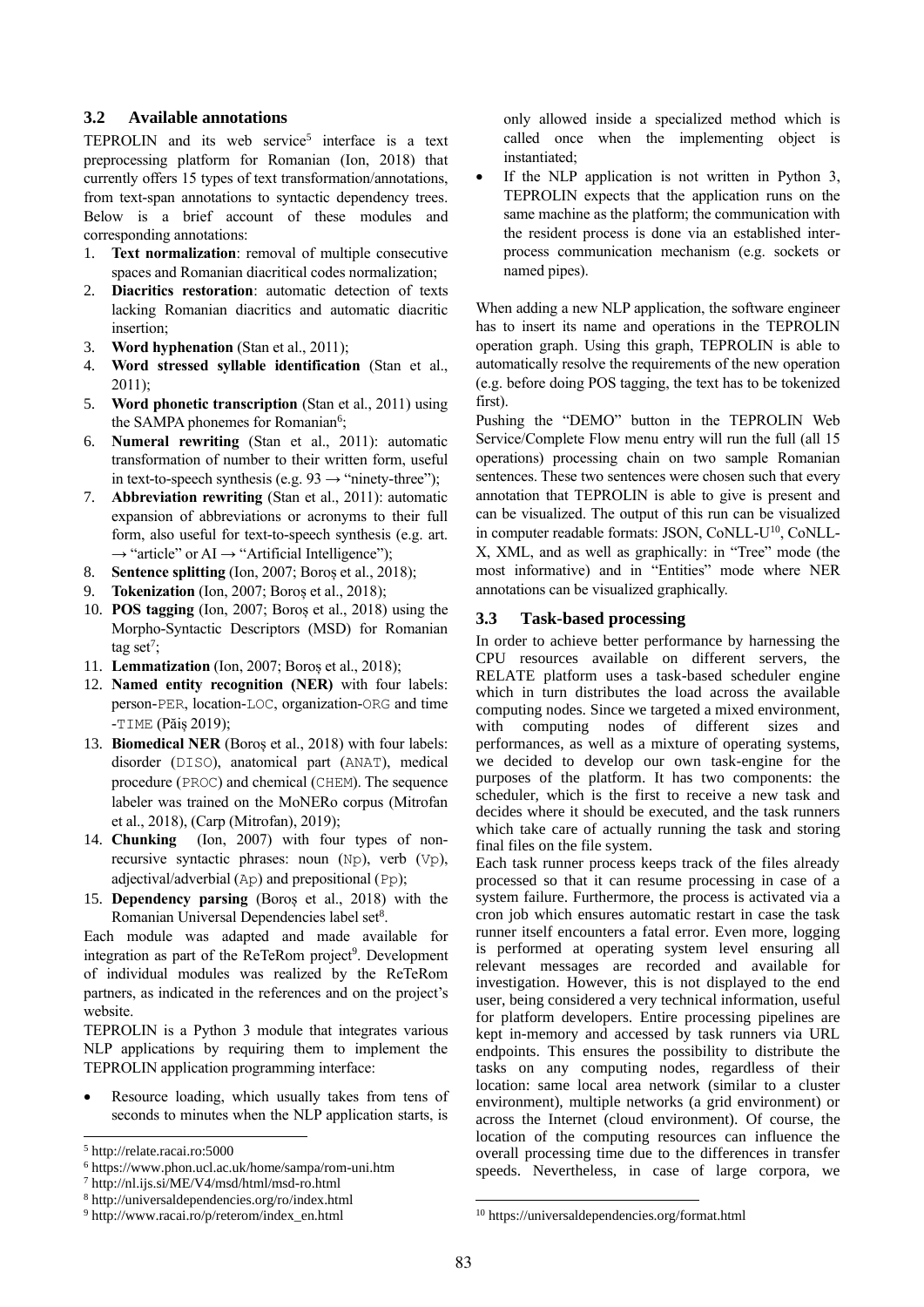#### **3.2 Available annotations**

TEPROLIN and its web service<sup>5</sup> interface is a text preprocessing platform for Romanian (Ion, 2018) that currently offers 15 types of text transformation/annotations, from text-span annotations to syntactic dependency trees. Below is a brief account of these modules and corresponding annotations:

- 1. **Text normalization**: removal of multiple consecutive spaces and Romanian diacritical codes normalization;
- 2. **Diacritics restoration**: automatic detection of texts lacking Romanian diacritics and automatic diacritic insertion;
- 3. **Word hyphenation** (Stan et al., 2011);
- 4. **Word stressed syllable identification** (Stan et al., 2011);
- 5. **Word phonetic transcription** (Stan et al., 2011) using the SAMPA phonemes for Romanian<sup>6</sup>;
- 6. **Numeral rewriting** (Stan et al., 2011): automatic transformation of number to their written form, useful in text-to-speech synthesis (e.g.  $93 \rightarrow$  "ninety-three");
- 7. **Abbreviation rewriting** (Stan et al., 2011): automatic expansion of abbreviations or acronyms to their full form, also useful for text-to-speech synthesis (e.g. art.  $\rightarrow$  "article" or AI  $\rightarrow$  "Artificial Intelligence");
- 8. **Sentence splitting** (Ion, 2007; Boroș et al., 2018);
- 9. **Tokenization** (Ion, 2007; Boroș et al., 2018);
- 10. **POS tagging** (Ion, 2007; Boroș et al., 2018) using the Morpho-Syntactic Descriptors (MSD) for Romanian tag set<sup>7</sup>;
- 11. **Lemmatization** (Ion, 2007; Boroș et al., 2018);
- 12. **Named entity recognition (NER)** with four labels: person-PER, location-LOC, organization-ORG and time -TIME (Păiș 2019);
- 13. **Biomedical NER** (Boroș et al., 2018) with four labels: disorder (DISO), anatomical part (ANAT), medical procedure (PROC) and chemical (CHEM). The sequence labeler was trained on the MoNERo corpus (Mitrofan et al., 2018), (Carp (Mitrofan), 2019);
- 14. **Chunking** (Ion, 2007) with four types of nonrecursive syntactic phrases: noun (Np), verb (Vp), adjectival/adverbial (Ap) and prepositional (Pp);
- 15. **Dependency parsing** (Boroș et al., 2018) with the Romanian Universal Dependencies label set<sup>8</sup>.

Each module was adapted and made available for integration as part of the ReTeRom project<sup>9</sup>. Development of individual modules was realized by the ReTeRom partners, as indicated in the references and on the project's website.

TEPROLIN is a Python 3 module that integrates various NLP applications by requiring them to implement the TEPROLIN application programming interface:

Resource loading, which usually takes from tens of seconds to minutes when the NLP application starts, is

only allowed inside a specialized method which is called once when the implementing object is instantiated;

If the NLP application is not written in Python 3, TEPROLIN expects that the application runs on the same machine as the platform; the communication with the resident process is done via an established interprocess communication mechanism (e.g. sockets or named pipes).

When adding a new NLP application, the software engineer has to insert its name and operations in the TEPROLIN operation graph. Using this graph, TEPROLIN is able to automatically resolve the requirements of the new operation (e.g. before doing POS tagging, the text has to be tokenized first).

Pushing the "DEMO" button in the TEPROLIN Web Service/Complete Flow menu entry will run the full (all 15 operations) processing chain on two sample Romanian sentences. These two sentences were chosen such that every annotation that TEPROLIN is able to give is present and can be visualized. The output of this run can be visualized in computer readable formats: JSON, CoNLL-U<sup>10</sup>, CoNLL-X, XML, and as well as graphically: in "Tree" mode (the most informative) and in "Entities" mode where NER annotations can be visualized graphically.

#### **3.3 Task-based processing**

In order to achieve better performance by harnessing the CPU resources available on different servers, the RELATE platform uses a task-based scheduler engine which in turn distributes the load across the available computing nodes. Since we targeted a mixed environment, with computing nodes of different sizes and performances, as well as a mixture of operating systems, we decided to develop our own task-engine for the purposes of the platform. It has two components: the scheduler, which is the first to receive a new task and decides where it should be executed, and the task runners which take care of actually running the task and storing final files on the file system.

Each task runner process keeps track of the files already processed so that it can resume processing in case of a system failure. Furthermore, the process is activated via a cron job which ensures automatic restart in case the task runner itself encounters a fatal error. Even more, logging is performed at operating system level ensuring all relevant messages are recorded and available for investigation. However, this is not displayed to the end user, being considered a very technical information, useful for platform developers. Entire processing pipelines are kept in-memory and accessed by task runners via URL endpoints. This ensures the possibility to distribute the tasks on any computing nodes, regardless of their location: same local area network (similar to a cluster environment), multiple networks (a grid environment) or across the Internet (cloud environment). Of course, the location of the computing resources can influence the overall processing time due to the differences in transfer speeds. Nevertheless, in case of large corpora, we

<sup>5</sup> [http://relate.racai.ro:5000](http://relate.racai.ro:5000/)

<sup>6</sup> <https://www.phon.ucl.ac.uk/home/sampa/rom-uni.htm>

<sup>7</sup> <http://nl.ijs.si/ME/V4/msd/html/msd-ro.html>

<sup>8</sup> <http://universaldependencies.org/ro/index.html>

<sup>9</sup> [http://www.racai.ro/p/reterom/index\\_en.html](http://www.racai.ro/p/reterom/index_en.html)

<sup>10</sup> <https://universaldependencies.org/format.html>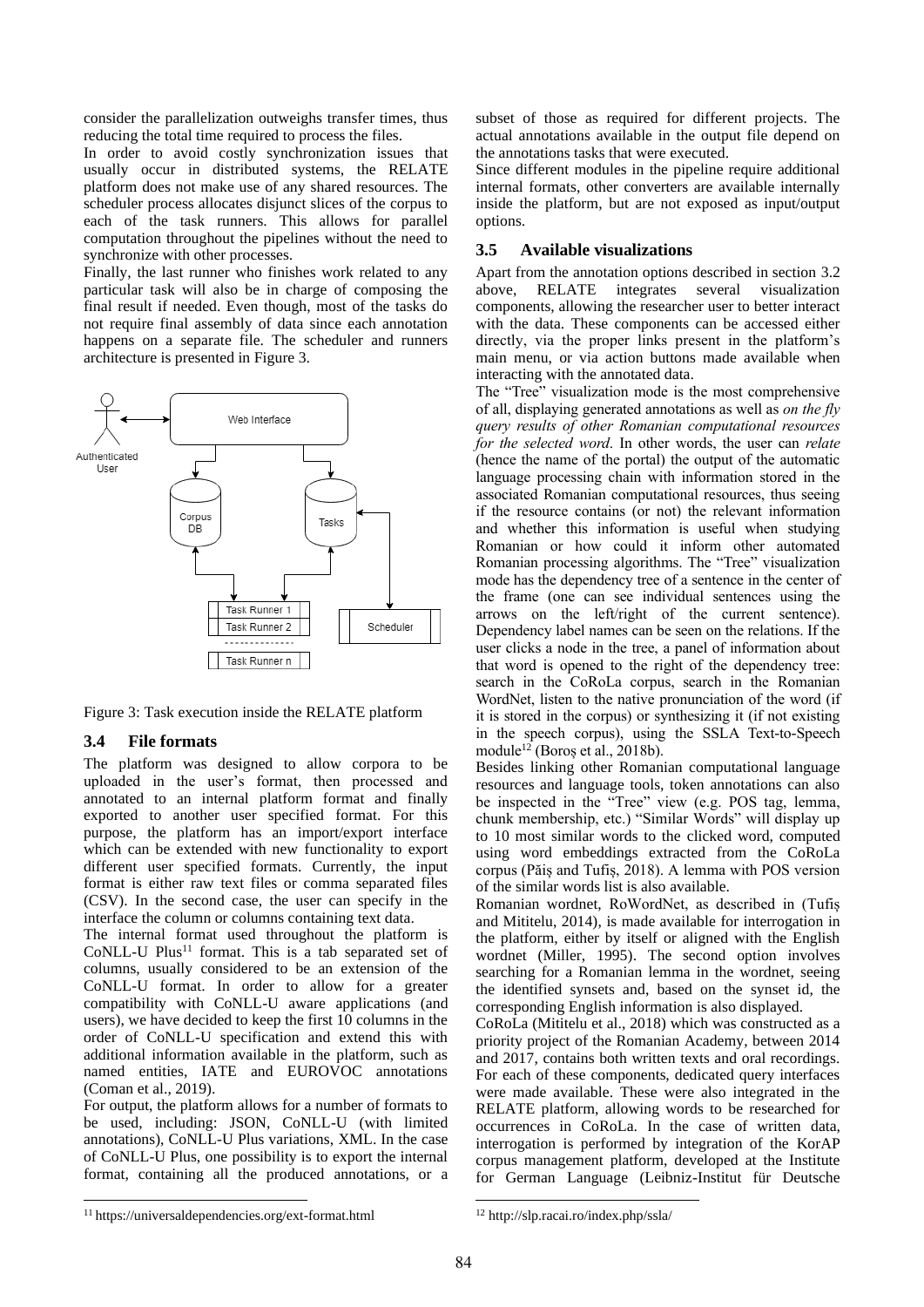consider the parallelization outweighs transfer times, thus reducing the total time required to process the files.

In order to avoid costly synchronization issues that usually occur in distributed systems, the RELATE platform does not make use of any shared resources. The scheduler process allocates disjunct slices of the corpus to each of the task runners. This allows for parallel computation throughout the pipelines without the need to synchronize with other processes.

Finally, the last runner who finishes work related to any particular task will also be in charge of composing the final result if needed. Even though, most of the tasks do not require final assembly of data since each annotation happens on a separate file. The scheduler and runners architecture is presented in Figure 3.



Figure 3: Task execution inside the RELATE platform

#### **3.4 File formats**

The platform was designed to allow corpora to be uploaded in the user's format, then processed and annotated to an internal platform format and finally exported to another user specified format. For this purpose, the platform has an import/export interface which can be extended with new functionality to export different user specified formats. Currently, the input format is either raw text files or comma separated files (CSV). In the second case, the user can specify in the interface the column or columns containing text data.

The internal format used throughout the platform is  $CoNLL-U$  Plus<sup>11</sup> format. This is a tab separated set of columns, usually considered to be an extension of the CoNLL-U format. In order to allow for a greater compatibility with CoNLL-U aware applications (and users), we have decided to keep the first 10 columns in the order of CoNLL-U specification and extend this with additional information available in the platform, such as named entities, IATE and EUROVOC annotations (Coman et al., 2019).

For output, the platform allows for a number of formats to be used, including: JSON, CoNLL-U (with limited annotations), CoNLL-U Plus variations, XML. In the case of CoNLL-U Plus, one possibility is to export the internal format, containing all the produced annotations, or a subset of those as required for different projects. The actual annotations available in the output file depend on the annotations tasks that were executed.

Since different modules in the pipeline require additional internal formats, other converters are available internally inside the platform, but are not exposed as input/output options.

### **3.5 Available visualizations**

Apart from the annotation options described in section 3.2 above, RELATE integrates several visualization components, allowing the researcher user to better interact with the data. These components can be accessed either directly, via the proper links present in the platform's main menu, or via action buttons made available when interacting with the annotated data.

The "Tree" visualization mode is the most comprehensive of all, displaying generated annotations as well as *on the fly query results of other Romanian computational resources for the selected word*. In other words, the user can *relate* (hence the name of the portal) the output of the automatic language processing chain with information stored in the associated Romanian computational resources, thus seeing if the resource contains (or not) the relevant information and whether this information is useful when studying Romanian or how could it inform other automated Romanian processing algorithms. The "Tree" visualization mode has the dependency tree of a sentence in the center of the frame (one can see individual sentences using the arrows on the left/right of the current sentence). Dependency label names can be seen on the relations. If the user clicks a node in the tree, a panel of information about that word is opened to the right of the dependency tree: search in the CoRoLa corpus, search in the Romanian WordNet, listen to the native pronunciation of the word (if it is stored in the corpus) or synthesizing it (if not existing in the speech corpus), using the SSLA Text-to-Speech module<sup>12</sup> (Boroș et al., 2018b).

Besides linking other Romanian computational language resources and language tools, token annotations can also be inspected in the "Tree" view (e.g. POS tag, lemma, chunk membership, etc.) "Similar Words" will display up to 10 most similar words to the clicked word, computed using word embeddings extracted from the CoRoLa corpus (Păiș and Tufiș, 2018). A lemma with POS version of the similar words list is also available.

Romanian wordnet, RoWordNet, as described in (Tufiș and Mititelu, 2014), is made available for interrogation in the platform, either by itself or aligned with the English wordnet (Miller, 1995). The second option involves searching for a Romanian lemma in the wordnet, seeing the identified synsets and, based on the synset id, the corresponding English information is also displayed.

CoRoLa (Mititelu et al., 2018) which was constructed as a priority project of the Romanian Academy, between 2014 and 2017, contains both written texts and oral recordings. For each of these components, dedicated query interfaces were made available. These were also integrated in the RELATE platform, allowing words to be researched for occurrences in CoRoLa. In the case of written data, interrogation is performed by integration of the KorAP corpus management platform, developed at the Institute for German Language (Leibniz-Institut für Deutsche

<sup>11</sup> <https://universaldependencies.org/ext-format.html>

<sup>12</sup> <http://slp.racai.ro/index.php/ssla/>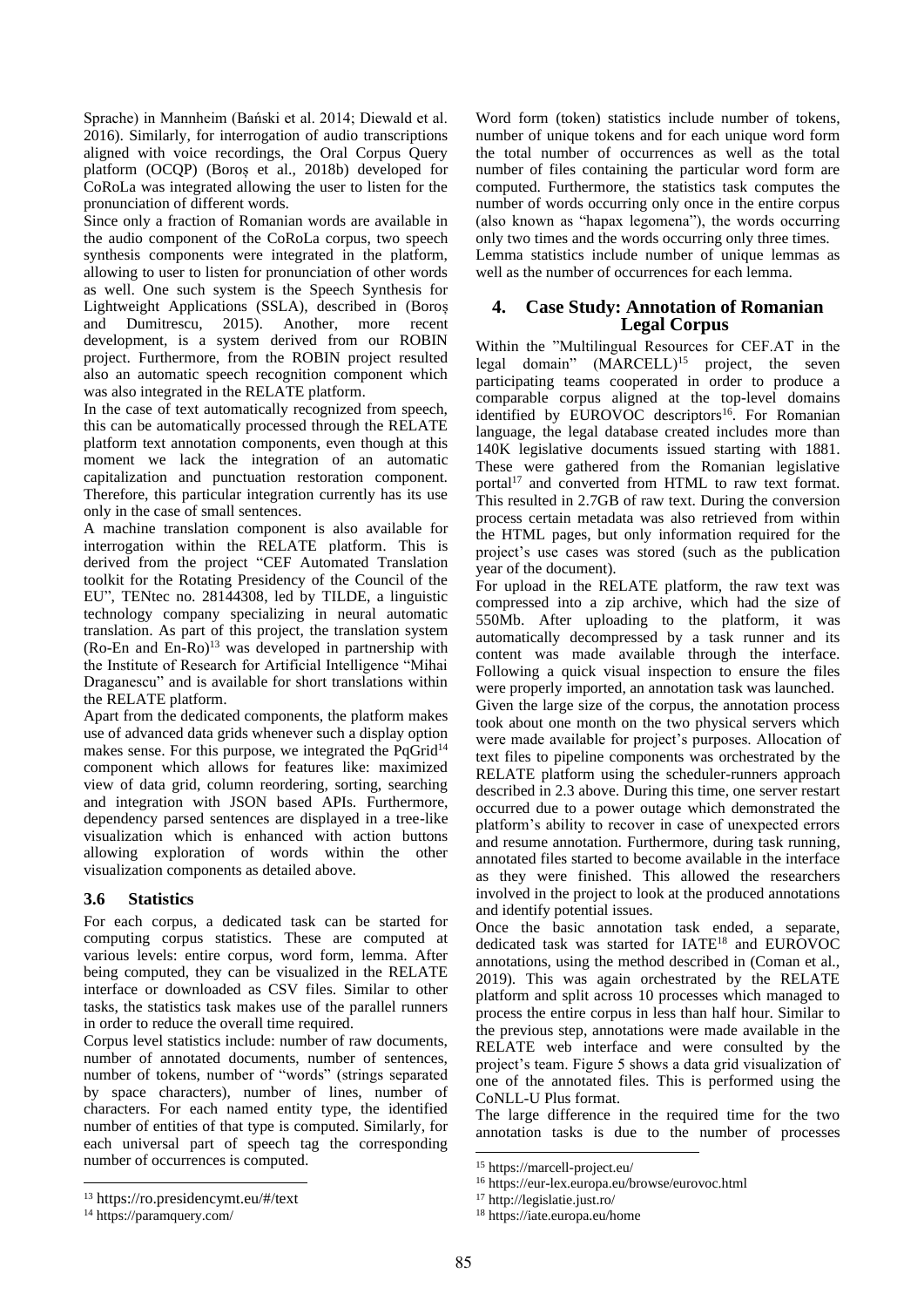Sprache) in Mannheim (Bański et al. 2014; Diewald et al. 2016). Similarly, for interrogation of audio transcriptions aligned with voice recordings, the Oral Corpus Query platform (OCQP) (Boroș et al., 2018b) developed for CoRoLa was integrated allowing the user to listen for the pronunciation of different words.

Since only a fraction of Romanian words are available in the audio component of the CoRoLa corpus, two speech synthesis components were integrated in the platform, allowing to user to listen for pronunciation of other words as well. One such system is the Speech Synthesis for Lightweight Applications (SSLA), described in (Boroș and Dumitrescu, 2015). Another, more recent development, is a system derived from our ROBIN project. Furthermore, from the ROBIN project resulted also an automatic speech recognition component which was also integrated in the RELATE platform.

In the case of text automatically recognized from speech, this can be automatically processed through the RELATE platform text annotation components, even though at this moment we lack the integration of an automatic capitalization and punctuation restoration component. Therefore, this particular integration currently has its use only in the case of small sentences.

A machine translation component is also available for interrogation within the RELATE platform. This is derived from the project "CEF Automated Translation toolkit for the Rotating Presidency of the Council of the EU", TENtec no. 28144308, led by TILDE, a linguistic technology company specializing in neural automatic translation. As part of this project, the translation system  $(Ro-En$  and  $En-Ro)^{13}$  was developed in partnership with the Institute of Research for Artificial Intelligence "Mihai Draganescu" and is available for short translations within the RELATE platform.

Apart from the dedicated components, the platform makes use of advanced data grids whenever such a display option makes sense. For this purpose, we integrated the  $PqGrid^{14}$ component which allows for features like: maximized view of data grid, column reordering, sorting, searching and integration with JSON based APIs. Furthermore, dependency parsed sentences are displayed in a tree-like visualization which is enhanced with action buttons allowing exploration of words within the other visualization components as detailed above.

## **3.6 Statistics**

For each corpus, a dedicated task can be started for computing corpus statistics. These are computed at various levels: entire corpus, word form, lemma. After being computed, they can be visualized in the RELATE interface or downloaded as CSV files. Similar to other tasks, the statistics task makes use of the parallel runners in order to reduce the overall time required.

Corpus level statistics include: number of raw documents, number of annotated documents, number of sentences, number of tokens, number of "words" (strings separated by space characters), number of lines, number of characters. For each named entity type, the identified number of entities of that type is computed. Similarly, for each universal part of speech tag the corresponding number of occurrences is computed.

Word form (token) statistics include number of tokens, number of unique tokens and for each unique word form the total number of occurrences as well as the total number of files containing the particular word form are computed. Furthermore, the statistics task computes the number of words occurring only once in the entire corpus (also known as "hapax legomena"), the words occurring only two times and the words occurring only three times. Lemma statistics include number of unique lemmas as well as the number of occurrences for each lemma.

### **4. Case Study: Annotation of Romanian Legal Corpus**

Within the "Multilingual Resources for CEF.AT in the legal domain"  $(MARCELL)^{15}$  project, the seven participating teams cooperated in order to produce a comparable corpus aligned at the top-level domains identified by EUROVOC descriptors<sup>16</sup>. For Romanian language, the legal database created includes more than 140K legislative documents issued starting with 1881. These were gathered from the Romanian legislative portal<sup>17</sup> and converted from HTML to raw text format. This resulted in 2.7GB of raw text. During the conversion process certain metadata was also retrieved from within the HTML pages, but only information required for the project's use cases was stored (such as the publication year of the document).

For upload in the RELATE platform, the raw text was compressed into a zip archive, which had the size of 550Mb. After uploading to the platform, it was automatically decompressed by a task runner and its content was made available through the interface. Following a quick visual inspection to ensure the files were properly imported, an annotation task was launched. Given the large size of the corpus, the annotation process

took about one month on the two physical servers which were made available for project's purposes. Allocation of text files to pipeline components was orchestrated by the RELATE platform using the scheduler-runners approach described in 2.3 above. During this time, one server restart occurred due to a power outage which demonstrated the platform's ability to recover in case of unexpected errors and resume annotation. Furthermore, during task running, annotated files started to become available in the interface as they were finished. This allowed the researchers involved in the project to look at the produced annotations and identify potential issues.

Once the basic annotation task ended, a separate, dedicated task was started for IATE<sup>18</sup> and EUROVOC annotations, using the method described in (Coman et al., 2019). This was again orchestrated by the RELATE platform and split across 10 processes which managed to process the entire corpus in less than half hour. Similar to the previous step, annotations were made available in the RELATE web interface and were consulted by the project's team. Figure 5 shows a data grid visualization of one of the annotated files. This is performed using the CoNLL-U Plus format.

The large difference in the required time for the two annotation tasks is due to the number of processes

<sup>13</sup> <https://ro.presidencymt.eu/#/text>

<sup>14</sup> <https://paramquery.com/>

<sup>15</sup> <https://marcell-project.eu/>

<sup>16</sup> <https://eur-lex.europa.eu/browse/eurovoc.html>

<sup>17</sup> <http://legislatie.just.ro/>

<sup>18</sup> <https://iate.europa.eu/home>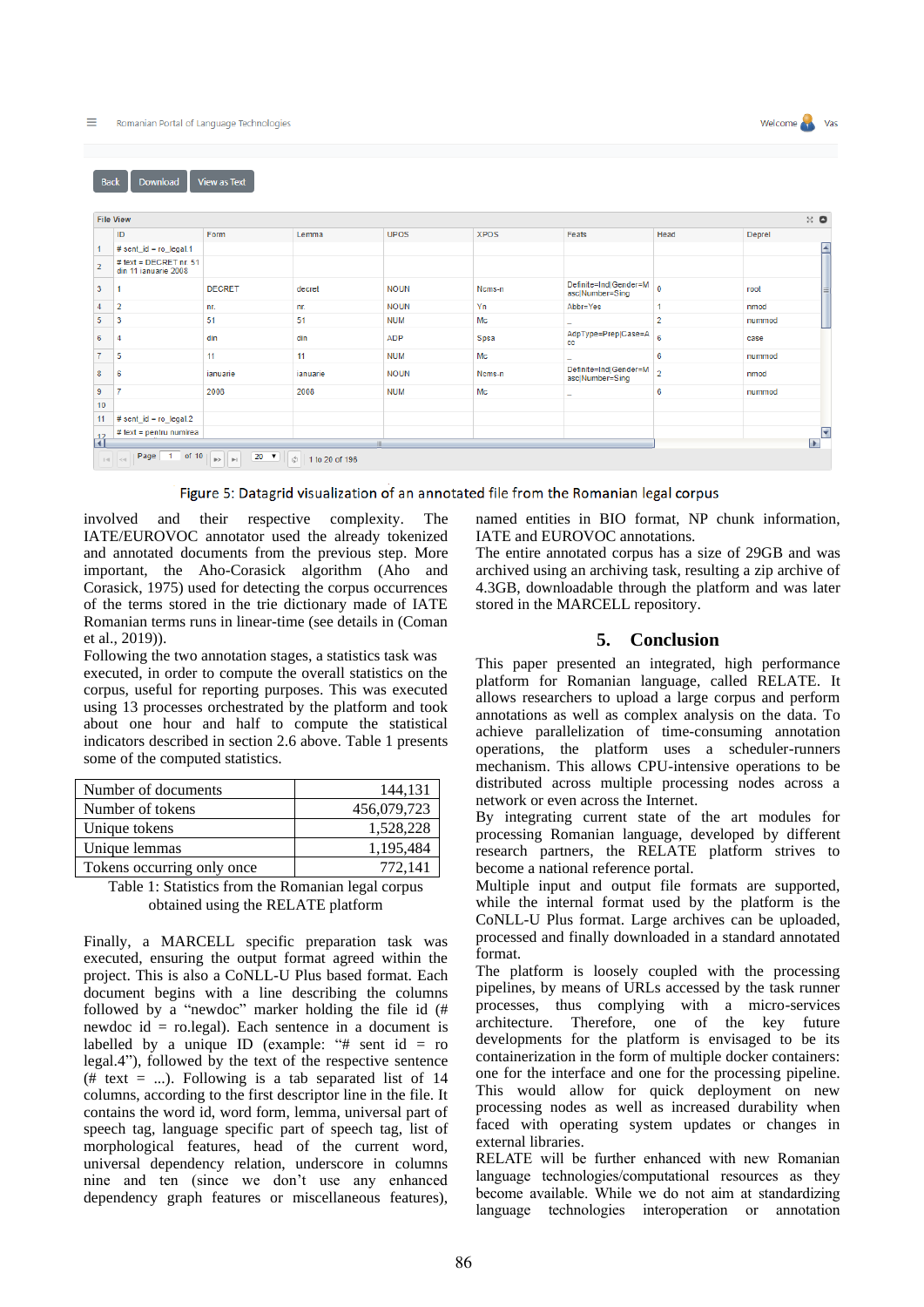#### ≡ Romanian Portal of Language Technologies

Back Download View as Text

Welcome Vas

| <b>File View</b>                               |               |          |             |             |                                          |                |        | x ⊖                     |
|------------------------------------------------|---------------|----------|-------------|-------------|------------------------------------------|----------------|--------|-------------------------|
| ID                                             | Form          | Lemma    | <b>UPOS</b> | <b>XPOS</b> | Feats                                    | Head           | Deprel |                         |
| # sent_id = $ro$ _legal.1                      |               |          |             |             |                                          |                |        | Ł                       |
| # text = DECRET nr. 51<br>din 11 ianuarie 2008 |               |          |             |             |                                          |                |        |                         |
|                                                | <b>DECRET</b> | decret   | <b>NOUN</b> | Ncms-n      | Definite=Ind Gender=M<br>asc Number=Sing | $\Omega$       | root   |                         |
| $\overline{2}$                                 | nr.           | nr.      | <b>NOUN</b> | Yn          | Abbr=Yes                                 | 1              | nmod   |                         |
| $\overline{\mathbf{3}}$                        | 51            | 51       | <b>NUM</b>  | Mc          | $\overline{\phantom{0}}$                 | $\overline{a}$ | nummod |                         |
| 4                                              | din           | din      | <b>ADP</b>  | Spsa        | AdpType=Prep Case=A<br>cc                | 6              | case   |                         |
| 5                                              | 11            | 11       | <b>NUM</b>  | Mc          | -                                        | 6              | nummod |                         |
| 6                                              | ianuarie      | ianuarie | <b>NOUN</b> | Ncms-n      | Definite=Ind Gender=M<br>asc Number=Sing | $\overline{2}$ | nmod   |                         |
| ÷                                              | 2008          | 2008     | <b>NUM</b>  | Mc          | $\overline{\phantom{0}}$                 | 6              | nummod |                         |
| 10 <sub>1</sub>                                |               |          |             |             |                                          |                |        |                         |
| # sent_id = ro_legal.2                         |               |          |             |             |                                          |                |        |                         |
| $#$ text = pentru numirea                      |               |          |             |             |                                          |                |        | $\overline{\mathbf{r}}$ |

Figure 5: Datagrid visualization of an annotated file from the Romanian legal corpus

involved and their respective complexity. The IATE/EUROVOC annotator used the already tokenized and annotated documents from the previous step. More important, the Aho-Corasick algorithm (Aho and Corasick, 1975) used for detecting the corpus occurrences of the terms stored in the trie dictionary made of IATE Romanian terms runs in linear-time (see details in (Coman et al., 2019)).

Following the two annotation stages, a statistics task was executed, in order to compute the overall statistics on the corpus, useful for reporting purposes. This was executed using 13 processes orchestrated by the platform and took about one hour and half to compute the statistical indicators described in section 2.6 above. Table 1 presents some of the computed statistics.

| Number of documents        | 144,131     |
|----------------------------|-------------|
| Number of tokens           | 456,079,723 |
| Unique tokens              | 1,528,228   |
| Unique lemmas              | 1,195,484   |
| Tokens occurring only once | 772.141     |

Table 1: Statistics from the Romanian legal corpus obtained using the RELATE platform

Finally, a MARCELL specific preparation task was executed, ensuring the output format agreed within the project. This is also a CoNLL-U Plus based format. Each document begins with a line describing the columns followed by a "newdoc" marker holding the file id (# newdoc  $id =$  ro.legal). Each sentence in a document is labelled by a unique ID (example: "# sent id = ro legal.4"), followed by the text of the respective sentence (# text = ...). Following is a tab separated list of  $14$ columns, according to the first descriptor line in the file. It contains the word id, word form, lemma, universal part of speech tag, language specific part of speech tag, list of morphological features, head of the current word, universal dependency relation, underscore in columns nine and ten (since we don't use any enhanced dependency graph features or miscellaneous features),

named entities in BIO format, NP chunk information, IATE and EUROVOC annotations.

The entire annotated corpus has a size of 29GB and was archived using an archiving task, resulting a zip archive of 4.3GB, downloadable through the platform and was later stored in the MARCELL repository.

## **5. Conclusion**

This paper presented an integrated, high performance platform for Romanian language, called RELATE. It allows researchers to upload a large corpus and perform annotations as well as complex analysis on the data. To achieve parallelization of time-consuming annotation operations, the platform uses a scheduler-runners mechanism. This allows CPU-intensive operations to be distributed across multiple processing nodes across a network or even across the Internet.

By integrating current state of the art modules for processing Romanian language, developed by different research partners, the RELATE platform strives to become a national reference portal.

Multiple input and output file formats are supported, while the internal format used by the platform is the CoNLL-U Plus format. Large archives can be uploaded, processed and finally downloaded in a standard annotated format.

The platform is loosely coupled with the processing pipelines, by means of URLs accessed by the task runner processes, thus complying with a micro-services architecture. Therefore, one of the key future developments for the platform is envisaged to be its containerization in the form of multiple docker containers: one for the interface and one for the processing pipeline. This would allow for quick deployment on new processing nodes as well as increased durability when faced with operating system updates or changes in external libraries.

RELATE will be further enhanced with new Romanian language technologies/computational resources as they become available. While we do not aim at standardizing language technologies interoperation or annotation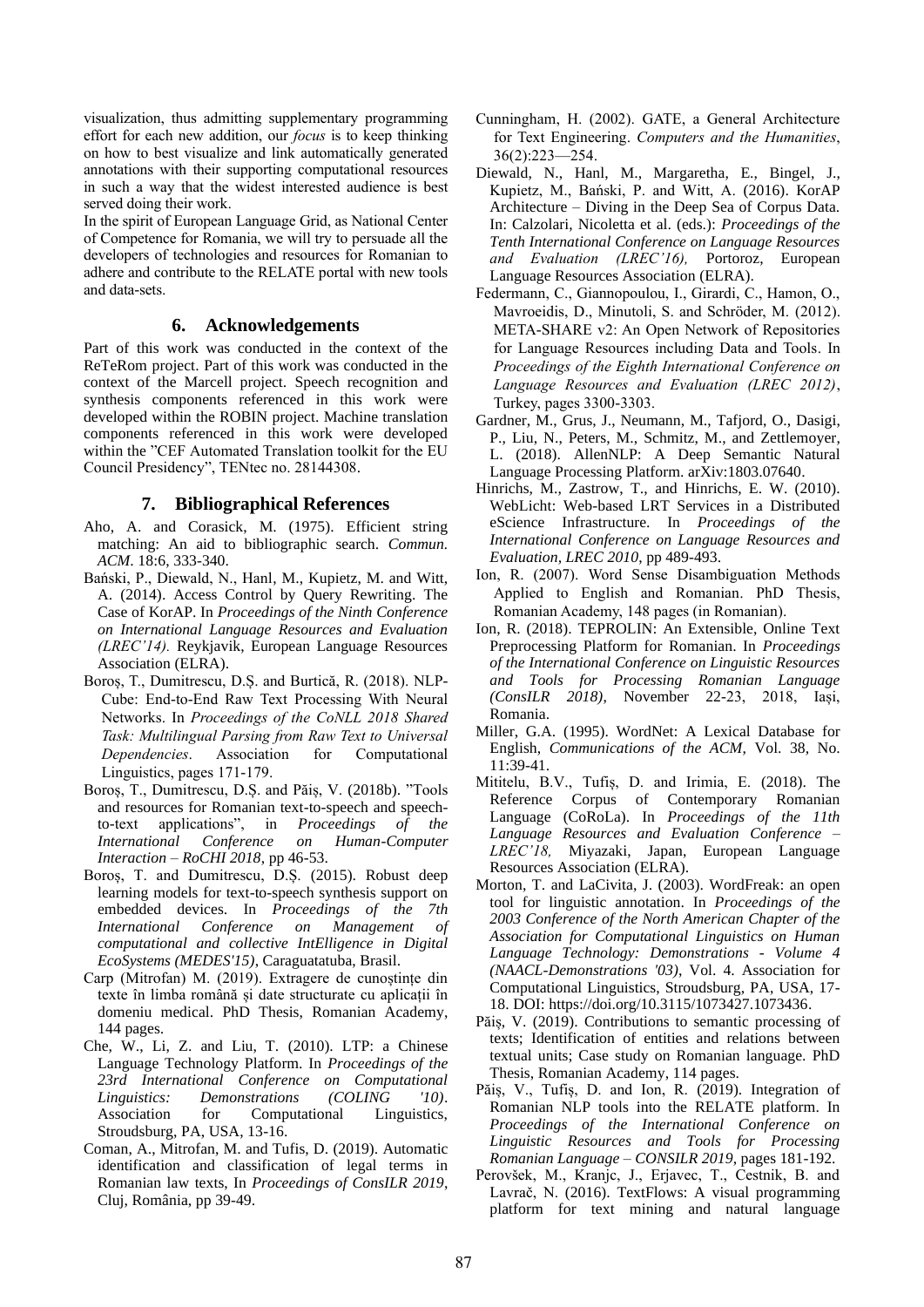visualization, thus admitting supplementary programming effort for each new addition, our *focus* is to keep thinking on how to best visualize and link automatically generated annotations with their supporting computational resources in such a way that the widest interested audience is best served doing their work.

In the spirit of European Language Grid, as National Center of Competence for Romania, we will try to persuade all the developers of technologies and resources for Romanian to adhere and contribute to the RELATE portal with new tools and data-sets.

### **6. Acknowledgements**

Part of this work was conducted in the context of the ReTeRom project. Part of this work was conducted in the context of the Marcell project. Speech recognition and synthesis components referenced in this work were developed within the ROBIN project. Machine translation components referenced in this work were developed within the "CEF Automated Translation toolkit for the EU Council Presidency", TENtec no. 28144308.

#### **7. Bibliographical References**

- Aho, A. and Corasick, M. (1975). Efficient string matching: An aid to bibliographic search. *Commun. ACM*. 18:6, 333-340.
- Bański, P., Diewald, N., Hanl, M., Kupietz, M. and Witt, A. (2014). Access Control by Query Rewriting. The Case of KorAP. In *Proceedings of the Ninth Conference on International Language Resources and Evaluation (LREC'14).* Reykjavik, European Language Resources Association (ELRA).
- Boroș, T., Dumitrescu, D.Ș. and Burtică, R. (2018). NLP-Cube: End-to-End Raw Text Processing With Neural Networks. In *Proceedings of the CoNLL 2018 Shared Task: Multilingual Parsing from Raw Text to Universal Dependencies*. Association for Computational Linguistics, pages 171-179.
- Boroș, T., Dumitrescu, D.Ș. and Păiș, V. (2018b). "Tools and resources for Romanian text-to-speech and speechto-text applications", in *Proceedings of the International Conference on Human-Computer Interaction – RoCHI 2018*, pp 46-53.
- Boroș, T. and Dumitrescu, D.Ș. (2015). Robust deep learning models for text-to-speech synthesis support on embedded devices. In *Proceedings of the 7th International Conference on Management of computational and collective IntElligence in Digital EcoSystems (MEDES'15)*, Caraguatatuba, Brasil.
- Carp (Mitrofan) M. (2019). Extragere de cunoștințe din texte în limba română și date structurate cu aplicații în domeniu medical. PhD Thesis, Romanian Academy, 144 pages.
- Che, W., Li, Z. and Liu, T. (2010). LTP: a Chinese Language Technology Platform. In *Proceedings of the 23rd International Conference on Computational Linguistics: Demonstrations (COLING '10)*. Association for Computational Linguistics, Stroudsburg, PA, USA, 13-16.
- Coman, A., Mitrofan, M. and Tufis, D. (2019). Automatic identification and classification of legal terms in Romanian law texts, In *Proceedings of ConsILR 2019*, Cluj, România, pp 39-49.
- Cunningham, H. (2002). GATE, a General Architecture for Text Engineering. *Computers and the Humanities*, 36(2):223—254.
- Diewald, N., Hanl, M., Margaretha, E., Bingel, J., Kupietz, M., Bański, P. and Witt, A. (2016). KorAP Architecture – Diving in the Deep Sea of Corpus Data. In: Calzolari, Nicoletta et al. (eds.): *Proceedings of the Tenth International Conference on Language Resources and Evaluation (LREC'16),* Portoroz, European Language Resources Association (ELRA).
- Federmann, C., Giannopoulou, I., Girardi, C., Hamon, O., Mavroeidis, D., Minutoli, S. and Schröder, M. (2012). META-SHARE v2: An Open Network of Repositories for Language Resources including Data and Tools. In *Proceedings of the Eighth International Conference on Language Resources and Evaluation (LREC 2012)*, Turkey, pages 3300-3303.
- Gardner, M., Grus, J., Neumann, M., Tafjord, O., Dasigi, P., Liu, N., Peters, M., Schmitz, M., and Zettlemoyer, L. (2018). AllenNLP: A Deep Semantic Natural Language Processing Platform. arXiv:1803.07640.
- Hinrichs, M., Zastrow, T., and Hinrichs, E. W. (2010). WebLicht: Web-based LRT Services in a Distributed eScience Infrastructure. In *Proceedings of the International Conference on Language Resources and Evaluation, LREC 2010*, pp 489-493.
- Ion, R. (2007). Word Sense Disambiguation Methods Applied to English and Romanian. PhD Thesis, Romanian Academy, 148 pages (in Romanian).
- Ion, R. (2018). TEPROLIN: An Extensible, Online Text Preprocessing Platform for Romanian. In *Proceedings of the International Conference on Linguistic Resources and Tools for Processing Romanian Language (ConsILR 2018)*, November 22-23, 2018, Iași, Romania.
- Miller, G.A. (1995). WordNet: A Lexical Database for English, *Communications of the ACM*, Vol. 38, No. 11:39-41.
- Mititelu, B.V., Tufiș, D. and Irimia, E. (2018). The Reference Corpus of Contemporary Romanian Language (CoRoLa). In *Proceedings of the 11th Language Resources and Evaluation Conference – LREC'18,* Miyazaki, Japan, European Language Resources Association (ELRA).
- Morton, T. and LaCivita, J. (2003). WordFreak: an open tool for linguistic annotation. In *Proceedings of the 2003 Conference of the North American Chapter of the Association for Computational Linguistics on Human Language Technology: Demonstrations - Volume 4 (NAACL-Demonstrations '03)*, Vol. 4. Association for Computational Linguistics, Stroudsburg, PA, USA, 17- 18. DOI: https://doi.org/10.3115/1073427.1073436.
- Păiș, V. (2019). Contributions to semantic processing of texts; Identification of entities and relations between textual units; Case study on Romanian language. PhD Thesis, Romanian Academy, 114 pages.
- Păiș, V., Tufiș, D. and Ion, R. (2019). Integration of Romanian NLP tools into the RELATE platform. In *Proceedings of the International Conference on Linguistic Resources and Tools for Processing Romanian Language – CONSILR 2019*, pages 181-192.
- Perovšek, M., Kranjc, J., Erjavec, T., Cestnik, B. and Lavrač, N. (2016). TextFlows: A visual programming platform for text mining and natural language